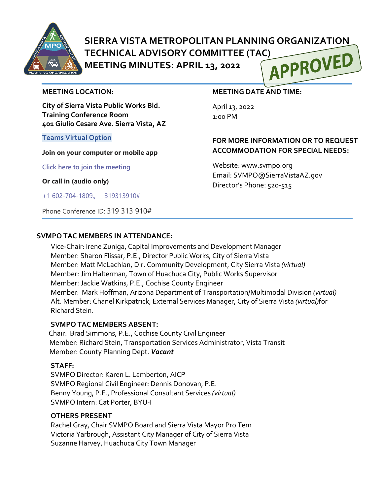

# **SIERRA VISTA METROPOLITAN PLANNING ORGANIZATION TECHNICAL ADVISORY COMMITTEE (TAC)**<br>MEETING MINUTES: APRIL 13, 2022 ADDROVED

**MEETING MINUTES: APRIL 13, 2022**



#### **MEETING LOCATION:**

**City of Sierra Vista Public Works Bld. Training Conference Room 401 Giulio Cesare Ave. Sierra Vista, AZ**

#### **Teams Virtual Option**

**Join on your computer or mobile app**

**[Click here to join the meeting](https://teams.microsoft.com/l/meetup-join/19%3ameeting_MGQ5YTEzMmYtMWU5My00YWFjLWI0YjYtZmUwZmRiMTY0YWU4%40thread.v2/0?context=%7b%22Tid%22%3a%2236676c86-4a76-422a-8d4e-223152386488%22%2c%22Oid%22%3a%22956098f9-794b-4934-9a34-9a99f53bf1f3%22%7d)**

**Or call in (audio only)**

[+1 602-704-1809,, 319313910#](tel:+16027041809,,319313910#%20)

Phone Conference ID: 319 313 910#

## **MEETING DATE AND TIME:**

April 13, 2022 1:00 PM

## **FOR MORE INFORMATION OR TO REQUEST ACCOMMODATION FOR SPECIAL NEEDS:**

Website: www.svmpo.org Email: SVMPO@SierraVistaAZ.gov Director's Phone: 520-515

#### **SVMPO TAC MEMBERS IN ATTENDANCE:**

Vice-Chair: Irene Zuniga, Capital Improvements and Development Manager Member: Sharon Flissar, P.E., Director Public Works, City of Sierra Vista Member: Matt McLachlan, Dir. Community Development, City Sierra Vista *(virtual)* Member: Jim Halterman*,* Town of Huachuca City, Public Works Supervisor Member: Jackie Watkins, P.E., Cochise County Engineer Member: Mark Hoffman, Arizona Department of Transportation/Multimodal Division *(virtual)* Alt. Member: Chanel Kirkpatrick, External Services Manager, City of Sierra Vista *(virtual)*for Richard Stein.

#### **SVMPO TAC MEMBERS ABSENT:**

 Chair: Brad Simmons, P.E., Cochise County Civil Engineer Member: Richard Stein, Transportation Services Administrator, Vista Transit Member: County Planning Dept. *Vacant*

#### **STAFF:**

SVMPO Director: Karen L. Lamberton, AICP SVMPO Regional Civil Engineer: Dennis Donovan, P.E. Benny Young, P.E., Professional Consultant Services *(virtual)* SVMPO Intern: Cat Porter, BYU-I

#### **OTHERS PRESENT**

Rachel Gray, Chair SVMPO Board and Sierra Vista Mayor Pro Tem Victoria Yarbrough, Assistant City Manager of City of Sierra Vista Suzanne Harvey, Huachuca City Town Manager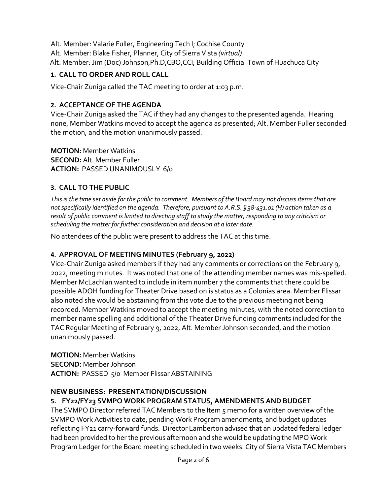Alt. Member: Valarie Fuller, Engineering Tech I; Cochise County Alt. Member: Blake Fisher, Planner, City of Sierra Vista *(virtual)* Alt. Member: Jim (Doc) Johnson,Ph.D,CBO,CCI; Building Official Town of Huachuca City

## **1. CALL TO ORDER AND ROLL CALL**

Vice-Chair Zuniga called the TAC meeting to order at 1:03 p.m.

### **2. ACCEPTANCE OF THE AGENDA**

Vice-Chair Zuniga asked the TAC if they had any changes to the presented agenda. Hearing none, Member Watkins moved to accept the agenda as presented; Alt. Member Fuller seconded the motion, and the motion unanimously passed.

**MOTION:** Member Watkins **SECOND:** Alt. Member Fuller **ACTION:** PASSED UNANIMOUSLY 6/0

## **3. CALL TO THE PUBLIC**

*This is the time set aside for the public to comment. Members of the Board may not discuss items that are not specifically identified on the agenda. Therefore, pursuant to A.R.S. § 38-431.01 (H) action taken as a result of public comment is limited to directing staff to study the matter, responding to any criticism or scheduling the matter for further consideration and decision at a later date.*

No attendees of the public were present to address the TAC at this time.

#### **4. APPROVAL OF MEETING MINUTES (February 9, 2022)**

Vice-Chair Zuniga asked members if they had any comments or corrections on the February 9, 2022, meeting minutes. It was noted that one of the attending member names was mis-spelled. Member McLachlan wanted to include in item number 7 the comments that there could be possible ADOH funding for Theater Drive based on is status as a Colonias area. Member Flissar also noted she would be abstaining from this vote due to the previous meeting not being recorded. Member Watkins moved to accept the meeting minutes, with the noted correction to member name spelling and additional of the Theater Drive funding comments included for the TAC Regular Meeting of February 9, 2022, Alt. Member Johnson seconded, and the motion unanimously passed.

**MOTION:** Member Watkins **SECOND:** Member Johnson **ACTION:** PASSED 5/0 Member Flissar ABSTAINING

#### **NEW BUSINESS: PRESENTATION/DISCUSSION**

## **5. FY22/FY23 SVMPO WORK PROGRAM STATUS, AMENDMENTS AND BUDGET**

The SVMPO Director referred TAC Members to the Item 5 memo for a written overview of the SVMPO Work Activities to date, pending Work Program amendments, and budget updates reflecting FY21 carry-forward funds. Director Lamberton advised that an updated federal ledger had been provided to her the previous afternoon and she would be updating the MPO Work Program Ledger for the Board meeting scheduled in two weeks. City of Sierra Vista TAC Members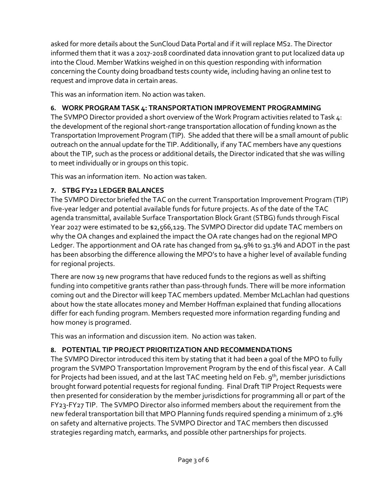asked for more details about the SunCloud Data Portal and if it will replace MS2. The Director informed them that it was a 2017-2018 coordinated data innovation grant to put localized data up into the Cloud. Member Watkins weighed in on this question responding with information concerning the County doing broadband tests county wide, including having an online test to request and improve data in certain areas.

This was an information item. No action was taken.

# **6. WORK PROGRAM TASK 4: TRANSPORTATION IMPROVEMENT PROGRAMMING**

The SVMPO Director provided a short overview of the Work Program activities related to Task 4: the development of the regional short-range transportation allocation of funding known as the Transportation Improvement Program (TIP). She added that there will be a small amount of public outreach on the annual update for the TIP. Additionally, if any TAC members have any questions about the TIP, such as the process or additional details, the Director indicated that she was willing to meet individually or in groups on this topic.

This was an information item. No action was taken.

## **7. STBG FY22 LEDGER BALANCES**

The SVMPO Director briefed the TAC on the current Transportation Improvement Program (TIP) five-year ledger and potential available funds for future projects. As of the date of the TAC agenda transmittal, available Surface Transportation Block Grant (STBG) funds through Fiscal Year 2027 were estimated to be \$2,566,129. The SVMPO Director did update TAC members on why the OA changes and explained the impact the OA rate changes had on the regional MPO Ledger. The apportionment and OA rate has changed from 94.9% to 91.3% and ADOT in the past has been absorbing the difference allowing the MPO's to have a higher level of available funding for regional projects.

There are now 19 new programs that have reduced funds to the regions as well as shifting funding into competitive grants rather than pass-through funds. There will be more information coming out and the Director will keep TAC members updated. Member McLachlan had questions about how the state allocates money and Member Hoffman explained that funding allocations differ for each funding program. Members requested more information regarding funding and how money is programed.

This was an information and discussion item. No action was taken.

# **8. POTENTIAL TIP PROJECT PRIORITIZATION AND RECOMMENDATIONS**

The SVMPO Director introduced this item by stating that it had been a goal of the MPO to fully program the SVMPO Transportation Improvement Program by the end of this fiscal year. A Call for Projects had been issued, and at the last TAC meeting held on Feb. 9<sup>th</sup>, member jurisdictions brought forward potential requests for regional funding. Final Draft TIP Project Requests were then presented for consideration by the member jurisdictions for programming all or part of the FY23-FY27 TIP. The SVMPO Director also informed members about the requirement from the new federal transportation bill that MPO Planning funds required spending a minimum of 2.5% on safety and alternative projects. The SVMPO Director and TAC members then discussed strategies regarding match, earmarks, and possible other partnerships for projects.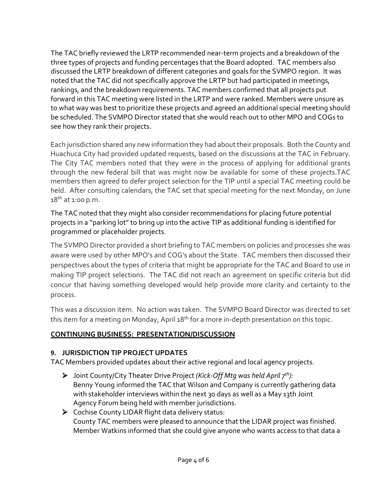The TAC briefly reviewed the LRTP recommended near-term projects and a breakdown of the three types of projects and funding percentages that the Board adopted. TAC members also discussed the LRTP breakdown of different categories and goals for the SVMPO region. It was noted that the TAC did not specifically approve the LRTP but had participated in meetings, rankings, and the breakdown requirements. TAC members confirmed that all projects put forward in this TAC meeting were listed in the LRTP and were ranked. Members were unsure as to what way was best to prioritize these projects and agreed an additional special meeting should be scheduled. The SVMPO Director stated that she would reach out to other MPO and COGs to see how they rank their projects.

Each jurisdiction shared any new information they had about their proposals. Both the County and Huachuca City had provided updated requests, based on the discussions at the TAC in February. The City TAC members noted that they were in the process of applying for additional grants through the new federal bill that was might now be available for some of these projects.TAC members then agreed to defer project selection for the TIP until a special TAC meeting could be held. After consulting calendars, the TAC set that special meeting for the next Monday, on June 18<sup>th</sup> at 1:00 p.m.

The TAC noted that they might also consider recommendations for placing future potential projects in a "parking lot" to bring up into the active TIP as additional funding is identified for programmed or placeholder projects.

The SVMPO Director provided a short briefing to TAC members on policies and processes she was aware were used by other MPO's and COG's about the State. TAC members then discussed their perspectives about the types of criteria that might be appropriate for the TAC and Board to use in making TIP project selections. The TAC did not reach an agreement on specific criteria but did concur that having something developed would help provide more clarity and certainty to the process.

This was a discussion item. No action was taken. The SVMPO Board Director was directed to set this item for a meeting on Monday, April 18<sup>th</sup> for a more in-depth presentation on this topic.

## **CONTINUING BUSINESS: PRESENTATION/DISCUSSION**

## **9. JURISDICTION TIP PROJECT UPDATES**

TAC Members provided updates about their active regional and local agency projects.

 Joint County/City Theater Drive Project *(Kick-Off Mtg was held April 7th):* Benny Young informed the TAC that Wilson and Company is currently gathering data with stakeholder interviews within the next 30 days as well as a May 13th Joint Agency Forum being held with member jurisdictions.

 Cochise County LIDAR flight data delivery status: County TAC members were pleased to announce that the LIDAR project was finished. Member Watkins informed that she could give anyone who wants access to that data a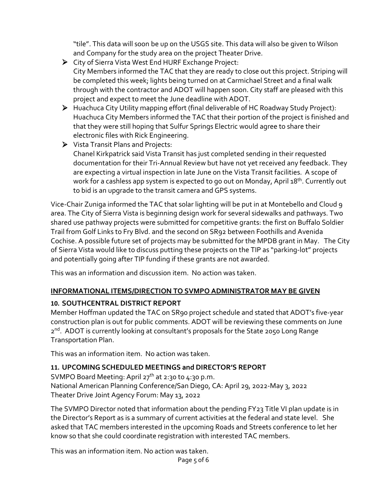"tile". This data will soon be up on the USGS site. This data will also be given to Wilson and Company for the study area on the project Theater Drive.

- City of Sierra Vista West End HURF Exchange Project: City Members informed the TAC that they are ready to close out this project. Striping will be completed this week; lights being turned on at Carmichael Street and a final walk through with the contractor and ADOT will happen soon. City staff are pleased with this project and expect to meet the June deadline with ADOT.
- Huachuca City Utility mapping effort (final deliverable of HC Roadway Study Project): Huachuca City Members informed the TAC that their portion of the project is finished and that they were still hoping that Sulfur Springs Electric would agree to share their electronic files with Rick Engineering.
- Vista Transit Plans and Projects: Chanel Kirkpatrick said Vista Transit has just completed sending in their requested documentation for their Tri-Annual Review but have not yet received any feedback. They are expecting a virtual inspection in late June on the Vista Transit facilities. A scope of work for a cashless app system is expected to go out on Monday, April 18<sup>th</sup>. Currently out to bid is an upgrade to the transit camera and GPS systems.

Vice-Chair Zuniga informed the TAC that solar lighting will be put in at Montebello and Cloud 9 area. The City of Sierra Vista is beginning design work for several sidewalks and pathways. Two shared use pathway projects were submitted for competitive grants: the first on Buffalo Soldier Trail from Golf Links to Fry Blvd. and the second on SR92 between Foothills and Avenida Cochise. A possible future set of projects may be submitted for the MPDB grant in May. The City of Sierra Vista would like to discuss putting these projects on the TIP as "parking-lot" projects and potentially going after TIP funding if these grants are not awarded.

This was an information and discussion item. No action was taken.

# **INFORMATIONAL ITEMS/DIRECTION TO SVMPO ADMINISTRATOR MAY BE GIVEN**

## **10. SOUTHCENTRAL DISTRICT REPORT**

Member Hoffman updated the TAC on SR90 project schedule and stated that ADOT's five-year construction plan is out for public comments. ADOT will be reviewing these comments on June 2<sup>nd</sup>. ADOT is currently looking at consultant's proposals for the State 2050 Long Range Transportation Plan.

This was an information item. No action was taken.

# **11. UPCOMING SCHEDULED MEETINGS and DIRECTOR'S REPORT**

SVMPO Board Meeting: April 27<sup>th</sup> at 2:30 to 4:30 p.m. National American Planning Conference/San Diego, CA: April 29, 2022-May 3, 2022 Theater Drive Joint Agency Forum: May 13, 2022

The SVMPO Director noted that information about the pending FY23 Title VI plan update is in the Director's Report as is a summary of current activities at the federal and state level. She asked that TAC members interested in the upcoming Roads and Streets conference to let her know so that she could coordinate registration with interested TAC members.

This was an information item. No action was taken.